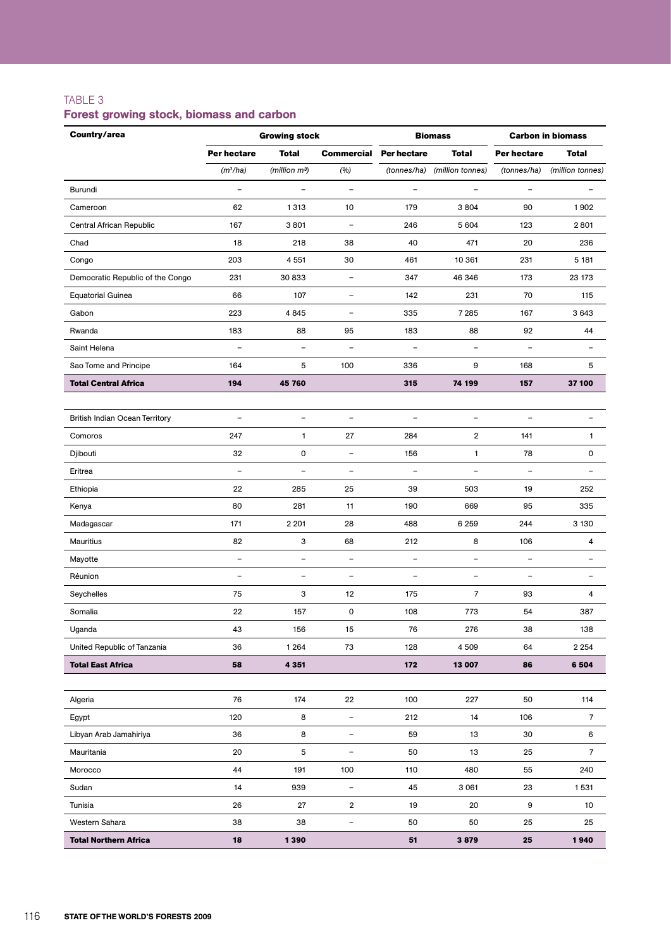# TABLE 3

# Forest growing stock, biomass and carbon

| Country/area                          | <b>Growing stock</b>     |                           |                          | <b>Biomass</b>           | <b>Carbon in biomass</b> |                          |                          |
|---------------------------------------|--------------------------|---------------------------|--------------------------|--------------------------|--------------------------|--------------------------|--------------------------|
|                                       | Per hectare              | <b>Total</b>              | <b>Commercial</b>        | <b>Per hectare</b>       | <b>Total</b>             | Per hectare              | <b>Total</b>             |
|                                       | (m <sup>3</sup> /ha)     | (million m <sup>3</sup> ) | (%)                      | (tonnes/ha)              | (million tonnes)         | (tonnes/ha)              | (million tonnes)         |
| Burundi                               | $\qquad \qquad -$        | $\overline{\phantom{a}}$  | $\overline{\phantom{a}}$ | $\qquad \qquad -$        | $\overline{\phantom{0}}$ | $\overline{\phantom{a}}$ |                          |
| Cameroon                              | 62                       | 1313                      | 10                       | 179                      | 3804                     | 90                       | 1902                     |
| Central African Republic              | 167                      | 3801                      | $\overline{\phantom{0}}$ | 246                      | 5 604                    | 123                      | 2801                     |
| Chad                                  | 18                       | 218                       | 38                       | 40                       | 471                      | 20                       | 236                      |
| Congo                                 | 203                      | 4 5 5 1                   | 30                       | 461                      | 10 361                   | 231                      | 5 181                    |
| Democratic Republic of the Congo      | 231                      | 30 833                    | $\overline{\phantom{a}}$ | 347                      | 46 346                   | 173                      | 23 173                   |
| <b>Equatorial Guinea</b>              | 66                       | 107                       | $\qquad \qquad -$        | 142                      | 231                      | 70                       | 115                      |
| Gabon                                 | 223                      | 4845                      | $\overline{a}$           | 335                      | 7 2 8 5                  | 167                      | 3 6 4 3                  |
| Rwanda                                | 183                      | 88                        | 95                       | 183                      | 88                       | 92                       | 44                       |
| Saint Helena                          | ۰                        | $\overline{a}$            | $\overline{\phantom{0}}$ | $\qquad \qquad -$        | $\overline{\phantom{0}}$ | $\overline{\phantom{0}}$ | ۳                        |
| Sao Tome and Principe                 | 164                      | 5                         | 100                      | 336                      | 9                        | 168                      | 5                        |
| <b>Total Central Africa</b>           | 194                      | 45 760                    |                          | 315                      | 74 199                   | 157                      | 37 100                   |
|                                       |                          |                           |                          |                          |                          |                          |                          |
| <b>British Indian Ocean Territory</b> | $\overline{\phantom{a}}$ | $\qquad \qquad -$         | $\qquad \qquad -$        | $\qquad \qquad -$        | $\overline{\phantom{a}}$ | $\overline{\phantom{a}}$ |                          |
| Comoros                               | 247                      | 1                         | 27                       | 284                      | $\overline{2}$           | 141                      | 1                        |
| Djibouti                              | 32                       | $\pmb{0}$                 | $\overline{\phantom{0}}$ | 156                      | 1                        | 78                       | 0                        |
| Eritrea                               | ÷                        | $\overline{\phantom{0}}$  | $\overline{\phantom{0}}$ | $\overline{\phantom{0}}$ | $\overline{\phantom{0}}$ | $\qquad \qquad -$        |                          |
| Ethiopia                              | 22                       | 285                       | 25                       | 39                       | 503                      | 19                       | 252                      |
| Kenya                                 | 80                       | 281                       | 11                       | 190                      | 669                      | 95                       | 335                      |
| Madagascar                            | 171                      | 2 2 0 1                   | 28                       | 488                      | 6 2 5 9                  | 244                      | 3 1 3 0                  |
| Mauritius                             | 82                       | 3                         | 68                       | 212                      | 8                        | 106                      | 4                        |
| Mayotte                               | $\overline{\phantom{0}}$ | $\overline{\phantom{0}}$  | $\overline{\phantom{0}}$ | $\overline{\phantom{a}}$ | $\overline{\phantom{0}}$ | $\overline{\phantom{a}}$ | $\overline{\phantom{0}}$ |
| Réunion                               |                          | $\overline{\phantom{0}}$  | ÷,                       |                          |                          |                          |                          |
| Seychelles                            | 75                       | 3                         | 12                       | 175                      | 7                        | 93                       | 4                        |
| Somalia                               | 22                       | 157                       | 0                        | 108                      | 773                      | 54                       | 387                      |
| Uganda                                | 43                       | 156                       | 15                       | 76                       | 276                      | 38                       | 138                      |
| United Republic of Tanzania           | 36                       | 1 2 6 4                   | 73                       | 128                      | 4 5 0 9                  | 64                       | 2 2 5 4                  |
| <b>Total East Africa</b>              | 58                       | 4 3 5 1                   |                          | 172                      | 13 007                   | 86                       | 6 5 0 4                  |
|                                       |                          |                           |                          |                          |                          |                          |                          |
| Algeria                               | 76                       | 174                       | 22                       | 100                      | 227                      | 50                       | 114                      |
| Egypt                                 | 120                      | 8                         | $\qquad \qquad -$        | 212                      | 14                       | 106                      | $\overline{7}$           |
| Libyan Arab Jamahiriya                | 36                       | 8                         | $\overline{\phantom{0}}$ | 59                       | 13                       | 30                       | 6                        |
| Mauritania                            | 20                       | 5                         | $\overline{\phantom{0}}$ | 50                       | 13                       | 25                       | $\overline{7}$           |
| Morocco                               | 44                       | 191                       | 100                      | 110                      | 480                      | 55                       | 240                      |
| Sudan                                 | 14                       | 939                       | $\qquad \qquad -$        | 45                       | 3 0 6 1                  | 23                       | 1531                     |
| Tunisia                               | 26                       | 27                        | $\overline{2}$           | 19                       | 20                       | 9                        | 10                       |
| Western Sahara                        | 38                       | 38                        | $\overline{\phantom{a}}$ | 50                       | 50                       | 25                       | 25                       |
| <b>Total Northern Africa</b>          | 18                       | 1390                      |                          | 51                       | 3879                     | 25                       | 1940                     |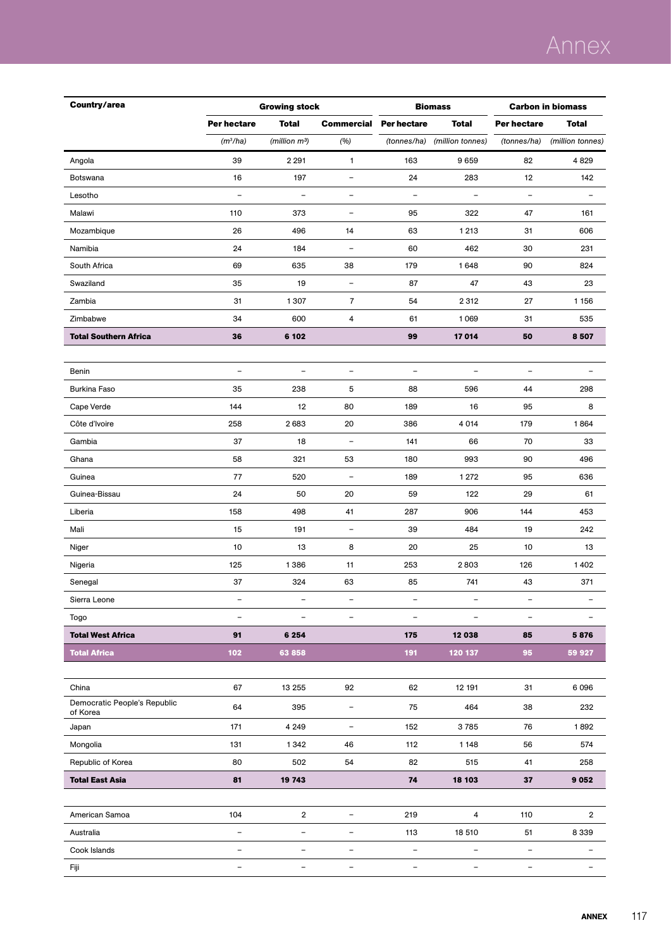# Annex

| Country/area                             | <b>Growing stock</b>     |                           |                          | <b>Biomass</b>           | <b>Carbon in biomass</b> |                          |                          |
|------------------------------------------|--------------------------|---------------------------|--------------------------|--------------------------|--------------------------|--------------------------|--------------------------|
|                                          | Per hectare              | <b>Total</b>              | <b>Commercial</b>        | Per hectare              | <b>Total</b>             | Per hectare              | <b>Total</b>             |
|                                          | $(m^3/ha)$               | (million m <sup>3</sup> ) | (%)                      | (tonnes/ha)              | (million tonnes)         | (tonnes/ha)              | (million tonnes)         |
| Angola                                   | 39                       | 2 2 9 1                   | $\mathbf{1}$             | 163                      | 9659                     | 82                       | 4829                     |
| Botswana                                 | 16                       | 197                       | $\qquad \qquad -$        | 24                       | 283                      | 12                       | 142                      |
| Lesotho                                  |                          |                           | $\overline{\phantom{0}}$ |                          |                          | $\qquad \qquad -$        |                          |
| Malawi                                   | 110                      | 373                       | $\qquad \qquad -$        | 95                       | 322                      | 47                       | 161                      |
| Mozambique                               | 26                       | 496                       | 14                       | 63                       | 1213                     | 31                       | 606                      |
| Namibia                                  | 24                       | 184                       | $\equiv$                 | 60                       | 462                      | 30                       | 231                      |
| South Africa                             | 69                       | 635                       | 38                       | 179                      | 1648                     | 90                       | 824                      |
| Swaziland                                | 35                       | 19                        | $\overline{\phantom{0}}$ | 87                       | 47                       | 43                       | 23                       |
| Zambia                                   | 31                       | 1307                      | $\overline{7}$           | 54                       | 2312                     | 27                       | 1 1 5 6                  |
| Zimbabwe                                 | 34                       | 600                       | 4                        | 61                       | 1069                     | 31                       | 535                      |
| <b>Total Southern Africa</b>             | 36                       | 6 102                     |                          | 99                       | 17014                    | 50                       | 8507                     |
|                                          |                          |                           |                          |                          |                          |                          |                          |
| Benin                                    | $\overline{a}$           | $\overline{\phantom{a}}$  | $\overline{\phantom{0}}$ | $\overline{\phantom{0}}$ | $\overline{\phantom{0}}$ | $\overline{\phantom{0}}$ |                          |
| <b>Burkina Faso</b>                      | 35                       | 238                       | 5                        | 88                       | 596                      | 44                       | 298                      |
| Cape Verde                               | 144                      | 12                        | 80                       | 189                      | 16                       | 95                       | 8                        |
| Côte d'Ivoire                            | 258                      | 2683                      | 20                       | 386                      | 4 0 1 4                  | 179                      | 1864                     |
| Gambia                                   | 37                       | 18                        | $\overline{\phantom{a}}$ | 141                      | 66                       | 70                       | 33                       |
| Ghana                                    | 58                       | 321                       | 53                       | 180                      | 993                      | 90                       | 496                      |
| Guinea                                   | 77                       | 520                       | $\equiv$                 | 189                      | 1 272                    | 95                       | 636                      |
| Guinea-Bissau                            | 24                       | 50                        | 20                       | 59                       | 122                      | 29                       | 61                       |
| Liberia                                  | 158                      | 498                       | 41                       | 287                      | 906                      | 144                      | 453                      |
| Mali                                     | 15                       | 191                       | $\qquad \qquad -$        | 39                       | 484                      | 19                       | 242                      |
| Niger                                    | 10                       | 13                        | 8                        | 20                       | 25                       | 10                       | 13                       |
| Nigeria                                  | 125                      | 1386                      | 11                       | 253                      | 2803                     | 126                      | 1402                     |
| Senegal                                  | 37                       | 324                       | 63                       | 85                       | 741                      | 43                       | 371                      |
| Sierra Leone                             |                          |                           |                          |                          |                          |                          |                          |
| Togo                                     | $\overline{\phantom{0}}$ | $\equiv$                  | $\overline{\phantom{0}}$ | $\qquad \qquad -$        | $\overline{\phantom{0}}$ | $\qquad \qquad -$        |                          |
| <b>Total West Africa</b>                 | 91                       | 6 2 5 4                   |                          | 175                      | 12 038                   | 85                       | 5876                     |
| <b>Total Africa</b>                      | 102                      | 63858                     |                          | 191                      | 120 137                  | 95                       | 59 927                   |
|                                          |                          |                           |                          |                          |                          |                          |                          |
| China                                    | 67                       | 13 255                    | 92                       | 62                       | 12 191                   | 31                       | 6 0 9 6                  |
| Democratic People's Republic<br>of Korea | 64                       | 395                       | $\overline{\phantom{a}}$ | 75                       | 464                      | 38                       | 232                      |
| Japan                                    | 171                      | 4 2 4 9                   | $\qquad \qquad -$        | 152                      | 3785                     | 76                       | 1892                     |
| Mongolia                                 | 131                      | 1342                      | 46                       | 112                      | 1 1 4 8                  | 56                       | 574                      |
| Republic of Korea                        | 80                       | 502                       | 54                       | 82                       | 515                      | 41                       | 258                      |
| <b>Total East Asia</b>                   | 81                       | 19 743                    |                          | 74                       | 18 103                   | 37                       | 9 0 5 2                  |
|                                          |                          |                           |                          |                          |                          |                          |                          |
| American Samoa                           | 104                      | $\overline{2}$            | $\qquad \qquad -$        | 219                      | $\overline{4}$           | 110                      | $\mathbf 2$              |
| Australia                                | $\qquad \qquad -$        | $\overline{\phantom{a}}$  | $\qquad \qquad -$        | 113                      | 18 510                   | 51                       | 8 3 3 9                  |
| Cook Islands                             | $\qquad \qquad -$        | $\overline{\phantom{a}}$  | $\qquad \qquad -$        | $\overline{\phantom{0}}$ | $\overline{\phantom{a}}$ | $\overline{\phantom{a}}$ | $\overline{\phantom{a}}$ |
| Fiji                                     | $\qquad \qquad -$        | $\overline{\phantom{a}}$  | $\overline{a}$           | $\qquad \qquad -$        | $\overline{\phantom{0}}$ | $\qquad \qquad -$        | ÷                        |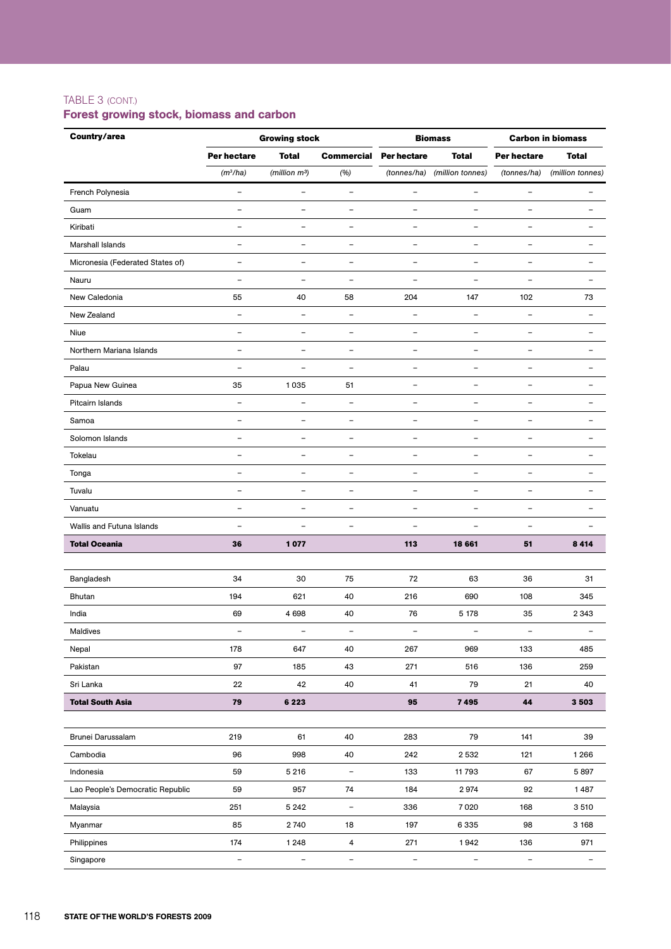### TABLE 3 (cont.)

# Forest growing stock, biomass and carbon

| Country/area                     |                          | <b>Growing stock</b>      |                          |                          | <b>Biomass</b>           | <b>Carbon in biomass</b> |                          |  |
|----------------------------------|--------------------------|---------------------------|--------------------------|--------------------------|--------------------------|--------------------------|--------------------------|--|
|                                  | Per hectare              | <b>Total</b>              | <b>Commercial</b>        | <b>Per hectare</b>       | <b>Total</b>             | Per hectare              | <b>Total</b>             |  |
|                                  | $(m^3/ha)$               | (million m <sup>3</sup> ) | (%)                      | (tonnes/ha)              | (million tonnes)         | (tonnes/ha)              | (million tonnes)         |  |
| French Polynesia                 | $\qquad \qquad -$        | $\qquad \qquad -$         | $\equiv$                 | $\qquad \qquad -$        | $\overline{\phantom{a}}$ | $\overline{\phantom{a}}$ | $\overline{\phantom{0}}$ |  |
| Guam                             | ÷                        | $\overline{\phantom{a}}$  | $\overline{\phantom{a}}$ | $\overline{\phantom{0}}$ | $\equiv$                 | $\overline{\phantom{a}}$ | $\equiv$                 |  |
| Kiribati                         | $\overline{\phantom{0}}$ | $\overline{a}$            | ÷,                       | L,                       | $\overline{\phantom{a}}$ | $\overline{\phantom{0}}$ |                          |  |
| Marshall Islands                 | $\overline{\phantom{0}}$ | $\overline{\phantom{0}}$  | $\overline{\phantom{0}}$ | $\overline{\phantom{0}}$ | $\overline{\phantom{0}}$ | $\overline{\phantom{m}}$ | -                        |  |
| Micronesia (Federated States of) | $\qquad \qquad -$        | $\qquad \qquad -$         | $\overline{a}$           | $\qquad \qquad -$        | $\overline{\phantom{a}}$ | $\overline{\phantom{a}}$ | $\overline{\phantom{0}}$ |  |
| Nauru                            | $\overline{\phantom{0}}$ | $\overline{\phantom{0}}$  | ÷,                       | $\overline{\phantom{0}}$ | $\overline{\phantom{a}}$ | $\overline{\phantom{a}}$ | $\overline{\phantom{0}}$ |  |
| New Caledonia                    | 55                       | 40                        | 58                       | 204                      | 147                      | 102                      | 73                       |  |
| New Zealand                      | $\qquad \qquad -$        | $\qquad \qquad -$         | $\overline{a}$           | $\overline{\phantom{0}}$ | $\overline{\phantom{0}}$ | $\overline{\phantom{0}}$ | -                        |  |
| Niue                             | -                        | $\qquad \qquad -$         | $\overline{\phantom{0}}$ | -                        | $\overline{\phantom{a}}$ | $\overline{\phantom{m}}$ |                          |  |
| Northern Mariana Islands         | -                        | -                         | $\overline{a}$           | ÷                        | $\overline{\phantom{0}}$ | $\overline{\phantom{0}}$ |                          |  |
| Palau                            | $\overline{\phantom{0}}$ | $\overline{\phantom{0}}$  | $\overline{\phantom{0}}$ | $\overline{\phantom{0}}$ | $\overline{\phantom{0}}$ | $\overline{\phantom{m}}$ | $\overline{\phantom{0}}$ |  |
| Papua New Guinea                 | 35                       | 1035                      | 51                       | $\overline{\phantom{0}}$ | $\equiv$                 | $\overline{\phantom{0}}$ |                          |  |
| Pitcairn Islands                 | $\overline{\phantom{0}}$ | $\overline{\phantom{0}}$  | $\overline{a}$           | ۳                        |                          | $\overline{\phantom{0}}$ |                          |  |
| Samoa                            | $\overline{\phantom{0}}$ | $\overline{\phantom{0}}$  | $\overline{\phantom{0}}$ | $\overline{\phantom{0}}$ | $\overline{\phantom{0}}$ | $\overline{\phantom{m}}$ |                          |  |
| Solomon Islands                  | $\overline{a}$           | -                         | $\overline{a}$           | $\qquad \qquad -$        | $\qquad \qquad -$        | $\overline{\phantom{0}}$ |                          |  |
| Tokelau                          | $\qquad \qquad -$        | $\overline{\phantom{0}}$  | $\overline{\phantom{0}}$ | $\overline{a}$           | $\overline{\phantom{a}}$ | $\overline{\phantom{0}}$ | ۳                        |  |
| Tonga                            | $\overline{\phantom{0}}$ | $\blacksquare$            | $\overline{\phantom{0}}$ | $\equiv$                 | $\equiv$                 | $\overline{\phantom{0}}$ | $\overline{\phantom{0}}$ |  |
| Tuvalu                           | $\overline{\phantom{0}}$ | $\overline{\phantom{0}}$  | ÷,                       | ÷                        | $\overline{\phantom{0}}$ | $\overline{\phantom{0}}$ |                          |  |
| Vanuatu                          | $\overline{\phantom{0}}$ | $\qquad \qquad -$         | $\overline{\phantom{0}}$ | $\overline{\phantom{0}}$ | $\overline{\phantom{a}}$ | $\overline{\phantom{m}}$ |                          |  |
| Wallis and Futuna Islands        | $\overline{\phantom{0}}$ | $\overline{\phantom{0}}$  | $\overline{a}$           | ÷                        | $\overline{\phantom{0}}$ | $\overline{\phantom{a}}$ |                          |  |
| <b>Total Oceania</b>             | 36                       | 1077                      |                          | 113                      | 18 661                   | 51                       | 8 4 1 4                  |  |
|                                  |                          |                           |                          |                          |                          |                          |                          |  |
| Bangladesh                       | 34                       | 30                        | 75                       | 72                       | 63                       | 36                       | 31                       |  |
| Bhutan                           | 194                      | 621                       | 40                       | 216                      | 690                      | 108                      | 345                      |  |
| India                            | 69                       | 4 6 9 8                   | 40                       | 76                       | 5 1 7 8                  | 35                       | 2 3 4 3                  |  |
| Maldives                         |                          |                           |                          |                          |                          |                          |                          |  |
| Nepal                            | 178                      | 647                       | 40                       | 267                      | 969                      | 133                      | 485                      |  |
| Pakistan                         | 97                       | 185                       | 43                       | 271                      | 516                      | 136                      | 259                      |  |
| Sri Lanka                        | 22                       | 42                        | 40                       | 41                       | 79                       | 21                       | 40                       |  |
| <b>Total South Asia</b>          | ${\bf 79}$               | 6 2 2 3                   |                          | 95                       | 7495                     | $\bf{44}$                | 3 5 0 3                  |  |
|                                  |                          |                           |                          |                          |                          |                          |                          |  |
| Brunei Darussalam                | 219                      | 61                        | 40                       | 283                      | 79                       | 141                      | 39                       |  |
| Cambodia                         | 96                       | 998                       | 40                       | 242                      | 2532                     | 121                      | 1 2 6 6                  |  |
| Indonesia                        | 59                       | 5 2 1 6                   | $\overline{\phantom{a}}$ | 133                      | 11793                    | 67                       | 5897                     |  |
| Lao People's Democratic Republic | 59                       | 957                       | 74                       | 184                      | 2974                     | 92                       | 1487                     |  |
| Malaysia                         | 251                      | 5 2 4 2                   | $\overline{\phantom{a}}$ | 336                      | 7020                     | 168                      | 3 5 1 0                  |  |
| Myanmar                          | 85                       | 2740                      | 18                       | 197                      | 6 3 3 5                  | 98                       | 3 1 6 8                  |  |
| Philippines                      | 174                      | 1 2 4 8                   | $\overline{\mathbf{4}}$  | 271                      | 1942                     | 136                      | 971                      |  |
| Singapore                        | $\overline{\phantom{a}}$ | $\overline{\phantom{0}}$  | $\overline{\phantom{a}}$ | $\overline{\phantom{a}}$ | $\overline{\phantom{a}}$ | $\overline{\phantom{a}}$ | $\overline{\phantom{a}}$ |  |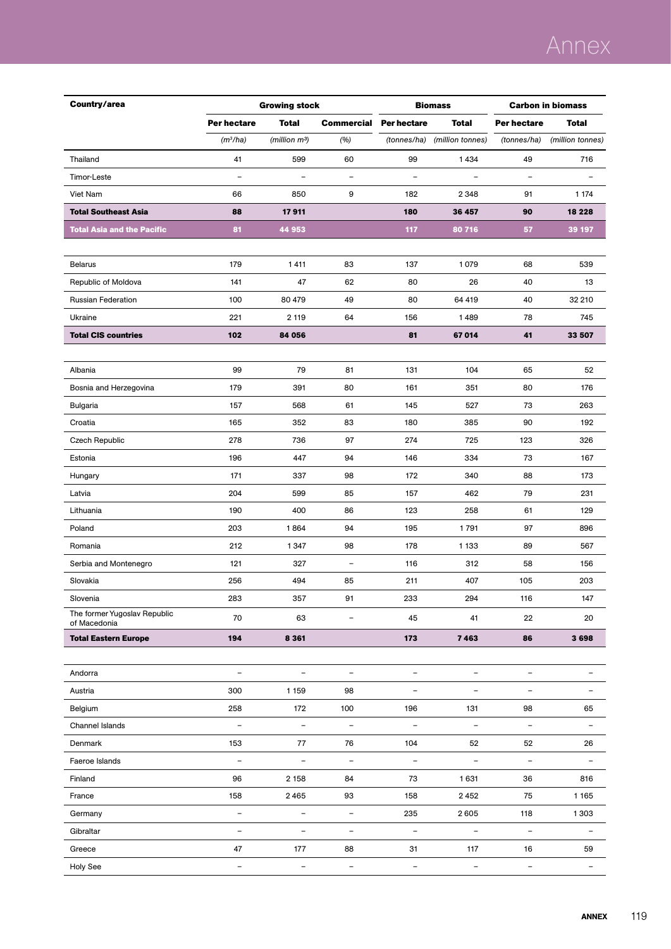# Annex

| Country/area                                 |                          | <b>Growing stock</b>      |                          | <b>Biomass</b>               |                          | <b>Carbon in biomass</b> |                          |  |
|----------------------------------------------|--------------------------|---------------------------|--------------------------|------------------------------|--------------------------|--------------------------|--------------------------|--|
|                                              | Per hectare              | <b>Total</b>              | <b>Commercial</b>        | <b>Per hectare</b>           | <b>Total</b>             | Per hectare              | <b>Total</b>             |  |
|                                              | $(m^3/ha)$               | (million m <sup>3</sup> ) | (%)                      | (tonnes/ha)                  | (million tonnes)         | (tonnes/ha)              | (million tonnes)         |  |
| Thailand                                     | 41                       | 599                       | 60                       | 99                           | 1434                     | 49                       | 716                      |  |
| Timor-Leste                                  | $\overline{\phantom{0}}$ | $\overline{\phantom{a}}$  | $\qquad \qquad -$        | $\qquad \qquad -$            | $\blacksquare$           | $\overline{\phantom{m}}$ |                          |  |
| Viet Nam                                     | 66                       | 850                       | 9                        | 182                          | 2 3 4 8                  | 91                       | 1 1 7 4                  |  |
| <b>Total Southeast Asia</b>                  | 88                       | 17911                     |                          | 180                          | 36 457                   | 90                       | 18 228                   |  |
| <b>Total Asia and the Pacific</b>            | 81                       | 44 953                    |                          | 117                          | 80 716                   | 57                       | 39 197                   |  |
|                                              |                          |                           |                          |                              |                          |                          |                          |  |
| <b>Belarus</b>                               | 179                      | 1411                      | 83                       | 137                          | 1079                     | 68                       | 539                      |  |
| Republic of Moldova                          | 141                      | 47                        | 62                       | 80                           | 26                       | 40                       | 13                       |  |
| <b>Russian Federation</b>                    | 100                      | 80 479                    | 49                       | 80                           | 64 419                   | 40                       | 32 210                   |  |
| Ukraine                                      | 221                      | 2 1 1 9                   | 64                       | 156                          | 1489                     | 78                       | 745                      |  |
| <b>Total CIS countries</b>                   | 102                      | 84 056                    |                          | 81                           | 67014                    | 41                       | 33 507                   |  |
|                                              |                          |                           |                          |                              |                          |                          |                          |  |
| Albania                                      | 99                       | 79                        | 81                       | 131                          | 104                      | 65                       | 52                       |  |
| Bosnia and Herzegovina                       | 179                      | 391                       | 80                       | 161                          | 351                      | 80                       | 176                      |  |
| Bulgaria                                     | 157                      | 568                       | 61                       | 145                          | 527                      | 73                       | 263                      |  |
| Croatia                                      | 165                      | 352                       | 83                       | 180                          | 385                      | 90                       | 192                      |  |
| Czech Republic                               | 278                      | 736                       | 97                       | 274                          | 725                      | 123                      | 326                      |  |
| Estonia                                      | 196                      | 447                       | 94                       | 146                          | 334                      | 73                       | 167                      |  |
| Hungary                                      | 171                      | 337                       | 98                       | 172                          | 340                      | 88                       | 173                      |  |
| Latvia                                       | 204                      | 599                       | 85                       | 157                          | 462                      | 79                       | 231                      |  |
| Lithuania                                    | 190                      | 400                       | 86                       | 123                          | 258                      | 61                       | 129                      |  |
| Poland                                       | 203                      | 1864                      | 94                       | 195                          | 1791                     | 97                       | 896                      |  |
| Romania                                      | 212                      | 1 3 4 7                   | 98                       | 178                          | 1 1 3 3                  | 89                       | 567                      |  |
| Serbia and Montenegro                        | 121                      | 327                       | $\overline{\phantom{a}}$ | 116                          | 312                      | 58                       | 156                      |  |
| Slovakia                                     | 256                      | 494                       | 85                       | 211                          | 407                      | 105                      | 203                      |  |
| Slovenia                                     | 283                      | 357                       | 91                       | 233                          | 294                      | 116                      | 147                      |  |
| The former Yugoslav Republic<br>of Macedonia | 70                       | 63                        | $\qquad \qquad -$        | 45                           | 41                       | 22                       | 20                       |  |
| <b>Total Eastern Europe</b>                  | 194                      | 8 3 6 1                   |                          | 173                          | 7463                     | 86                       | 3698                     |  |
|                                              |                          |                           |                          |                              |                          |                          |                          |  |
| Andorra                                      | $\overline{\phantom{a}}$ | $\bar{ }$                 | $\overline{\phantom{a}}$ | $\overline{\phantom{a}}$     | $\overline{\phantom{a}}$ | $\overline{\phantom{a}}$ | $\overline{a}$           |  |
| Austria                                      | 300                      | 1 1 5 9                   | 98                       | $\qquad \qquad -$            | $\overline{\phantom{a}}$ | $\overline{\phantom{a}}$ | $\overline{a}$           |  |
| Belgium                                      | 258                      | 172                       | 100                      | 196                          | 131                      | 98                       | 65                       |  |
| Channel Islands                              | $\overline{\phantom{0}}$ | $\qquad \qquad -$         | $\overline{\phantom{a}}$ | $\qquad \qquad \blacksquare$ | $\overline{\phantom{a}}$ | $\equiv$                 | $\overline{a}$           |  |
| Denmark                                      | 153                      | 77                        | 76                       | 104                          | 52                       | 52                       | 26                       |  |
| Faeroe Islands                               | $\overline{\phantom{a}}$ | $\overline{\phantom{a}}$  | $\overline{\phantom{a}}$ | $\overline{\phantom{a}}$     | $\overline{\phantom{a}}$ | $\overline{\phantom{a}}$ | $\qquad \qquad -$        |  |
| Finland                                      | 96                       | 2 1 5 8                   | 84                       | 73                           | 1631                     | 36                       | 816                      |  |
| France                                       | 158                      | 2465                      | 93                       | 158                          | 2452                     | 75                       | 1165                     |  |
| Germany                                      | $\overline{\phantom{a}}$ | $\overline{\phantom{a}}$  | $\overline{\phantom{a}}$ | 235                          | 2605                     | 118                      | 1303                     |  |
| Gibraltar                                    | $\overline{\phantom{a}}$ | $\overline{\phantom{a}}$  | $\overline{\phantom{a}}$ | $\bar{ }$                    | $\overline{\phantom{a}}$ | $\overline{\phantom{a}}$ | $\overline{\phantom{a}}$ |  |
| Greece                                       | 47                       | 177                       | 88                       | 31                           | 117                      | 16                       | 59                       |  |
| Holy See                                     | $\overline{\phantom{a}}$ | $\overline{\phantom{a}}$  | ÷,                       | $\equiv$                     | $\overline{\phantom{a}}$ | $\overline{\phantom{a}}$ | $\overline{a}$           |  |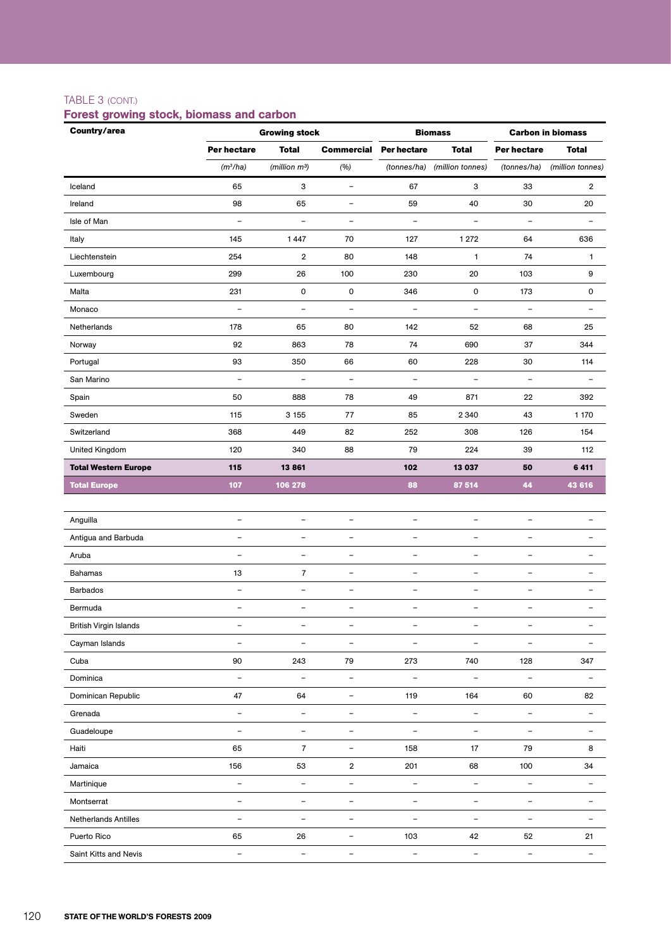### TABLE 3 (cont.)

# Forest growing stock, biomass and carbon

| Country/area                |                          | <b>Growing stock</b>      |                          |                          | <b>Biomass</b>           |                          | <b>Carbon in biomass</b> |
|-----------------------------|--------------------------|---------------------------|--------------------------|--------------------------|--------------------------|--------------------------|--------------------------|
|                             | Per hectare              | <b>Total</b>              | <b>Commercial</b>        | <b>Per hectare</b>       | <b>Total</b>             | Per hectare              | <b>Total</b>             |
|                             | (m <sup>3</sup> /ha)     | (million m <sup>3</sup> ) | (%)                      | (tonnes/ha)              | (million tonnes)         | (tonnes/ha)              | (million tonnes)         |
| Iceland                     | 65                       | 3                         | $\qquad \qquad -$        | 67                       | 3                        | 33                       | $\overline{2}$           |
| Ireland                     | 98                       | 65                        | $\qquad \qquad -$        | 59                       | 40                       | 30                       | 20                       |
| Isle of Man                 | $\qquad \qquad -$        | $\qquad \qquad -$         | $\qquad \qquad -$        | $\qquad \qquad -$        | $\qquad \qquad -$        | $\overline{\phantom{a}}$ | $\overline{a}$           |
| Italy                       | 145                      | 1447                      | 70                       | 127                      | 1 2 7 2                  | 64                       | 636                      |
| Liechtenstein               | 254                      | $\boldsymbol{2}$          | 80                       | 148                      | $\mathbf{1}$             | 74                       | $\mathbf{1}$             |
| Luxembourg                  | 299                      | 26                        | 100                      | 230                      | 20                       | 103                      | 9                        |
| Malta                       | 231                      | 0                         | $\pmb{0}$                | 346                      | $\mathsf{O}$             | 173                      | 0                        |
| Monaco                      | $\overline{\phantom{a}}$ | $\overline{\phantom{a}}$  | $\overline{\phantom{a}}$ | $\overline{\phantom{a}}$ | $\overline{\phantom{a}}$ | $\overline{\phantom{a}}$ | $\overline{a}$           |
| Netherlands                 | 178                      | 65                        | 80                       | 142                      | 52                       | 68                       | 25                       |
| Norway                      | 92                       | 863                       | 78                       | 74                       | 690                      | 37                       | 344                      |
| Portugal                    | 93                       | 350                       | 66                       | 60                       | 228                      | 30                       | 114                      |
| San Marino                  | $\overline{a}$           | $\overline{\phantom{0}}$  | $\equiv$                 | $\overline{\phantom{a}}$ | $\equiv$                 | $\overline{\phantom{a}}$ |                          |
| Spain                       | 50                       | 888                       | 78                       | 49                       | 871                      | 22                       | 392                      |
| Sweden                      | 115                      | 3 1 5 5                   | 77                       | 85                       | 2 3 4 0                  | 43                       | 1 170                    |
| Switzerland                 | 368                      | 449                       | 82                       | 252                      | 308                      | 126                      | 154                      |
| United Kingdom              | 120                      | 340                       | 88                       | 79                       | 224                      | 39                       | 112                      |
| <b>Total Western Europe</b> | 115                      | 13861                     |                          | 102                      | 13 037                   | 50                       | 6411                     |
| <b>Total Europe</b>         | 107                      | 106 278                   |                          | 88                       | 87 514                   | 44                       | 43 616                   |
|                             |                          |                           |                          |                          |                          |                          |                          |
| Anguilla                    | $\overline{\phantom{a}}$ | $\overline{\phantom{a}}$  | $\overline{\phantom{a}}$ | $\overline{\phantom{a}}$ | $\overline{\phantom{a}}$ | $\overline{\phantom{a}}$ | $\overline{\phantom{0}}$ |
| Antigua and Barbuda         | $\overline{\phantom{a}}$ | $\qquad \qquad -$         | $\overline{\phantom{a}}$ | $\overline{\phantom{a}}$ | $\qquad \qquad -$        | $\qquad \qquad -$        | ۰                        |
| Aruba                       | $\overline{\phantom{0}}$ | $\equiv$                  | $\equiv$                 | $\overline{\phantom{a}}$ | $\overline{\phantom{0}}$ | $\overline{\phantom{m}}$ | $\overline{\phantom{0}}$ |
| <b>Bahamas</b>              | 13                       | $\overline{7}$            | $\overline{\phantom{a}}$ | $\overline{\phantom{a}}$ | $\overline{\phantom{0}}$ | $\overline{\phantom{a}}$ | ۰                        |
| <b>Barbados</b>             | $\overline{\phantom{a}}$ | $\qquad \qquad -$         | $\overline{\phantom{a}}$ | $\qquad \qquad -$        | $\overline{\phantom{0}}$ | $\qquad \qquad -$        | $\overline{a}$           |
| Bermuda                     | $\overline{\phantom{a}}$ | $\qquad \qquad -$         | $\overline{\phantom{a}}$ | $\overline{\phantom{a}}$ | $\overline{\phantom{0}}$ | $\qquad \qquad -$        | $\overline{\phantom{0}}$ |
| British Virgin Islands      | $\qquad \qquad -$        | $\qquad \qquad -$         | $\qquad \qquad -$        | $\qquad \qquad -$        | $\qquad \qquad -$        | -                        | $\overline{\phantom{0}}$ |
| Cayman Islands              | $\overline{\phantom{a}}$ | $\qquad \qquad -$         | $\overline{\phantom{a}}$ | $\overline{\phantom{a}}$ | $\overline{\phantom{0}}$ | $\overline{\phantom{m}}$ | $\overline{\phantom{0}}$ |
| Cuba                        | 90                       | 243                       | 79                       | 273                      | 740                      | 128                      | 347                      |
| Dominica                    | $\overline{\phantom{a}}$ | $\overline{\phantom{a}}$  | $\overline{\phantom{a}}$ | $\overline{a}$           | $\overline{\phantom{a}}$ | $\qquad \qquad -$        | $\qquad \qquad -$        |
| Dominican Republic          | 47                       | 64                        | $\overline{\phantom{a}}$ | 119                      | 164                      | 60                       | 82                       |
| Grenada                     | $\overline{\phantom{a}}$ | $\overline{\phantom{a}}$  | $\overline{\phantom{a}}$ | $\overline{\phantom{a}}$ | $\overline{\phantom{a}}$ | $\overline{\phantom{a}}$ | $\overline{\phantom{a}}$ |
| Guadeloupe                  | $\qquad \qquad -$        | $\qquad \qquad -$         | $\overline{\phantom{a}}$ | $\overline{\phantom{a}}$ | $\overline{\phantom{0}}$ | $\overline{\phantom{a}}$ | $\overline{\phantom{0}}$ |
| Haiti                       | 65                       | $\overline{7}$            | $\overline{\phantom{a}}$ | 158                      | 17                       | 79                       | 8                        |
| Jamaica                     | 156                      | 53                        | $\overline{2}$           | 201                      | 68                       | 100                      | 34                       |
| Martinique                  | $\overline{\phantom{a}}$ | $\overline{\phantom{a}}$  | $\overline{\phantom{a}}$ | $\overline{\phantom{a}}$ | $\qquad \qquad -$        | $\bar{ }$                | $\qquad \qquad -$        |
| Montserrat                  | $\qquad \qquad -$        | $\qquad \qquad -$         | $\overline{\phantom{a}}$ | $\overline{\phantom{a}}$ | $\qquad \qquad -$        | $\overline{\phantom{a}}$ | $\qquad \qquad -$        |
| Netherlands Antilles        | $\qquad \qquad -$        | $\qquad \qquad -$         | $\overline{\phantom{a}}$ | $\overline{\phantom{a}}$ | $\qquad \qquad -$        | $\overline{\phantom{a}}$ | $\overline{\phantom{0}}$ |
| Puerto Rico                 | 65                       | 26                        | $\overline{\phantom{a}}$ | 103                      | 42                       | 52                       | 21                       |
| Saint Kitts and Nevis       | $\overline{\phantom{a}}$ | $\qquad \qquad -$         | $\overline{\phantom{a}}$ | $\qquad \qquad -$        | $\overline{\phantom{a}}$ | $\overline{\phantom{a}}$ | $\qquad \qquad -$        |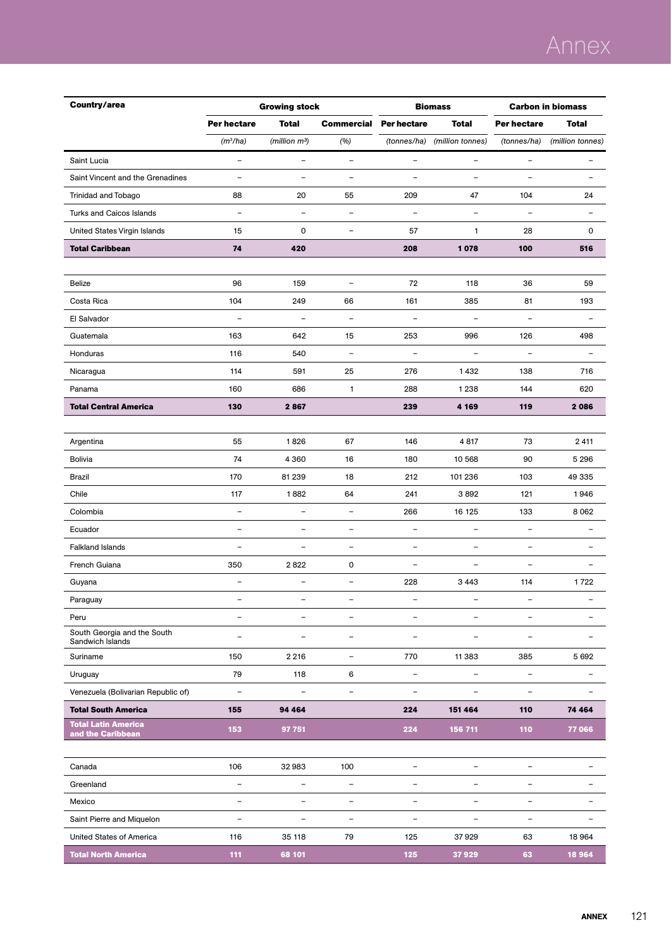| Country/area                                    |                          | <b>Growing stock</b><br><b>Biomass</b> |                          |                          | <b>Carbon in biomass</b> |                          |                          |
|-------------------------------------------------|--------------------------|----------------------------------------|--------------------------|--------------------------|--------------------------|--------------------------|--------------------------|
|                                                 | Per hectare              | <b>Total</b>                           | <b>Commercial</b>        | Per hectare              | <b>Total</b>             | Per hectare              | <b>Total</b>             |
|                                                 | $(m^3/ha)$               | (million m <sup>3</sup> )              | (%)                      | (tonnes/ha)              | (million tonnes)         | (tonnes/ha)              | (million tonnes)         |
| Saint Lucia                                     | $\overline{\phantom{a}}$ | $\qquad \qquad -$                      | $\qquad \qquad -$        | $\qquad \qquad -$        | $\overline{\phantom{a}}$ | $\overline{\phantom{a}}$ | $\overline{\phantom{0}}$ |
| Saint Vincent and the Grenadines                | $\overline{\phantom{a}}$ | $\qquad \qquad -$                      | $\overline{\phantom{0}}$ | $\overline{\phantom{a}}$ | $\overline{\phantom{a}}$ | $\overline{\phantom{a}}$ | $\overline{\phantom{0}}$ |
| Trinidad and Tobago                             | 88                       | 20                                     | 55                       | 209                      | 47                       | 104                      | 24                       |
| <b>Turks and Caicos Islands</b>                 | $\overline{\phantom{a}}$ | $\overline{\phantom{a}}$               | $\overline{\phantom{a}}$ | $\overline{\phantom{a}}$ | $\equiv$                 | $\overline{\phantom{a}}$ | $\overline{\phantom{0}}$ |
| United States Virgin Islands                    | 15                       | $\mathbf 0$                            | $\qquad \qquad -$        | 57                       | 1                        | 28                       | 0                        |
| <b>Total Caribbean</b>                          | 74                       | 420                                    |                          | 208                      | 1078                     | 100                      | 516                      |
|                                                 |                          |                                        |                          |                          |                          |                          |                          |
| Belize                                          | 96                       | 159                                    | $\overline{a}$           | 72                       | 118                      | 36                       | 59                       |
| Costa Rica                                      | 104                      | 249                                    | 66                       | 161                      | 385                      | 81                       | 193                      |
| El Salvador                                     | $\overline{\phantom{a}}$ | $\qquad \qquad -$                      | $\qquad \qquad -$        | $\qquad \qquad -$        | $\overline{\phantom{a}}$ | $\qquad \qquad -$        | ۰                        |
| Guatemala                                       | 163                      | 642                                    | 15                       | 253                      | 996                      | 126                      | 498                      |
| Honduras                                        | 116                      | 540                                    | $\qquad \qquad -$        | $\overline{\phantom{a}}$ | $\overline{\phantom{a}}$ | $\overline{\phantom{a}}$ | ۰                        |
| Nicaragua                                       | 114                      | 591                                    | 25                       | 276                      | 1432                     | 138                      | 716                      |
| Panama                                          | 160                      | 686                                    | $\mathbf{1}$             | 288                      | 1 2 3 8                  | 144                      | 620                      |
| <b>Total Central America</b>                    | 130                      | 2867                                   |                          | 239                      | 4 1 6 9                  | 119                      | 2086                     |
|                                                 |                          |                                        |                          |                          |                          |                          |                          |
| Argentina                                       | 55                       | 1826                                   | 67                       | 146                      | 4817                     | 73                       | 2411                     |
| Bolivia                                         | 74                       | 4 3 6 0                                | 16                       | 180                      | 10 568                   | 90                       | 5 2 9 6                  |
| Brazil                                          | 170                      | 81 239                                 | 18                       | 212                      | 101 236                  | 103                      | 49 335                   |
| Chile                                           | 117                      | 1882                                   | 64                       | 241                      | 3892                     | 121                      | 1946                     |
| Colombia                                        | $\overline{\phantom{a}}$ | $\qquad \qquad -$                      | $\overline{\phantom{a}}$ | 266                      | 16 125                   | 133                      | 8 0 6 2                  |
| Ecuador                                         | $\overline{\phantom{a}}$ | $\qquad \qquad -$                      | $\qquad \qquad -$        | $\overline{\phantom{a}}$ | $\overline{\phantom{a}}$ | $\overline{\phantom{m}}$ | $\overline{\phantom{0}}$ |
| <b>Falkland Islands</b>                         |                          | $\overline{\phantom{0}}$               | $\overline{\phantom{0}}$ | $\qquad \qquad -$        | ÷                        | $\blacksquare$           |                          |
| French Guiana                                   | 350                      | 2822                                   | 0                        | $\qquad \qquad -$        | $\qquad \qquad -$        | $\overline{\phantom{a}}$ | $\overline{\phantom{0}}$ |
| Guyana                                          | $\qquad \qquad -$        | -                                      | -                        | 228                      | 3 4 4 3                  | 114                      | 1722                     |
| Paraguay                                        |                          |                                        |                          |                          |                          |                          |                          |
| Peru                                            | $\overline{\phantom{a}}$ | L,                                     | $\overline{\phantom{0}}$ | $\overline{\phantom{a}}$ | $\overline{\phantom{a}}$ | $\overline{\phantom{a}}$ | $\overline{\phantom{0}}$ |
| South Georgia and the South<br>Sandwich Islands | $\overline{\phantom{0}}$ |                                        | $\overline{\phantom{0}}$ |                          |                          |                          |                          |
| Suriname                                        | 150                      | 2 2 1 6                                | $\overline{\phantom{0}}$ | 770                      | 11 3 8 3                 | 385                      | 5 6 9 2                  |
| Uruguay                                         | 79                       | 118                                    | 6                        | $\qquad \qquad -$        | $\qquad \qquad -$        | $\overline{\phantom{m}}$ | $\overline{\phantom{0}}$ |
| Venezuela (Bolivarian Republic of)              | $\qquad \qquad -$        | $\qquad \qquad -$                      | $\qquad \qquad -$        | $\overline{\phantom{0}}$ |                          | $\overline{\phantom{0}}$ |                          |
| <b>Total South America</b>                      | 155                      | 94 464                                 |                          | 224                      | 151 464                  | 110                      | 74 464                   |
| <b>Total Latin America</b><br>and the Caribbean | 153                      | 97 751                                 |                          | 224                      | 156 711                  | 110                      | 77 066                   |
|                                                 |                          |                                        |                          |                          |                          |                          |                          |
| Canada                                          | 106                      | 32983                                  | 100                      | $\overline{\phantom{a}}$ | $\qquad \qquad -$        | $\overline{\phantom{a}}$ | $\overline{a}$           |
| Greenland                                       | $\overline{\phantom{a}}$ | $\overline{\phantom{0}}$               | $\overline{\phantom{a}}$ | $\overline{\phantom{0}}$ | $\overline{\phantom{0}}$ | $\overline{\phantom{m}}$ |                          |
| Mexico                                          | $\overline{\phantom{a}}$ | -                                      | $\qquad \qquad -$        | $\qquad \qquad -$        | $\overline{\phantom{0}}$ | $\overline{\phantom{a}}$ |                          |
| Saint Pierre and Miquelon                       | $\qquad \qquad -$        | $\overline{\phantom{0}}$               | $\overline{\phantom{0}}$ | $\overline{\phantom{0}}$ |                          | $\qquad \qquad -$        | $\overline{\phantom{0}}$ |
| United States of America                        | 116                      | 35 118                                 | 79                       | 125                      | 37929                    | 63                       | 18 9 64                  |
| <b>Total North America</b>                      | 111                      | 68 101                                 |                          | 125                      | 37929                    | 63                       | 18 9 64                  |